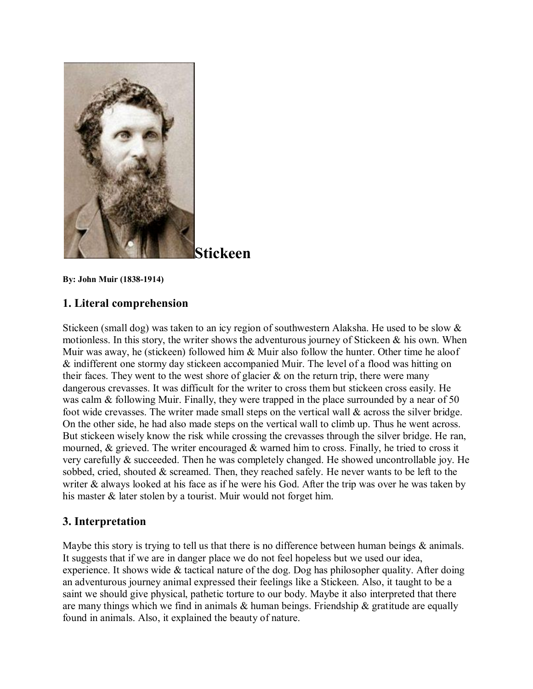

**Stickeen**

**By: John Muir (1838-1914)**

## **1. Literal comprehension**

Stickeen (small dog) was taken to an icy region of southwestern Alaksha. He used to be slow & motionless. In this story, the writer shows the adventurous journey of Stickeen  $\&$  his own. When Muir was away, he (stickeen) followed him & Muir also follow the hunter. Other time he aloof & indifferent one stormy day stickeen accompanied Muir. The level of a flood was hitting on their faces. They went to the west shore of glacier  $\&$  on the return trip, there were many dangerous crevasses. It was difficult for the writer to cross them but stickeen cross easily. He was calm & following Muir. Finally, they were trapped in the place surrounded by a near of 50 foot wide crevasses. The writer made small steps on the vertical wall & across the silver bridge. On the other side, he had also made steps on the vertical wall to climb up. Thus he went across. But stickeen wisely know the risk while crossing the crevasses through the silver bridge. He ran, mourned, & grieved. The writer encouraged & warned him to cross. Finally, he tried to cross it very carefully & succeeded. Then he was completely changed. He showed uncontrollable joy. He sobbed, cried, shouted & screamed. Then, they reached safely. He never wants to be left to the writer & always looked at his face as if he were his God. After the trip was over he was taken by his master & later stolen by a tourist. Muir would not forget him.

## **3. Interpretation**

Maybe this story is trying to tell us that there is no difference between human beings  $\&$  animals. It suggests that if we are in danger place we do not feel hopeless but we used our idea, experience. It shows wide  $&$  tactical nature of the dog. Dog has philosopher quality. After doing an adventurous journey animal expressed their feelings like a Stickeen. Also, it taught to be a saint we should give physical, pathetic torture to our body. Maybe it also interpreted that there are many things which we find in animals & human beings. Friendship & gratitude are equally found in animals. Also, it explained the beauty of nature.